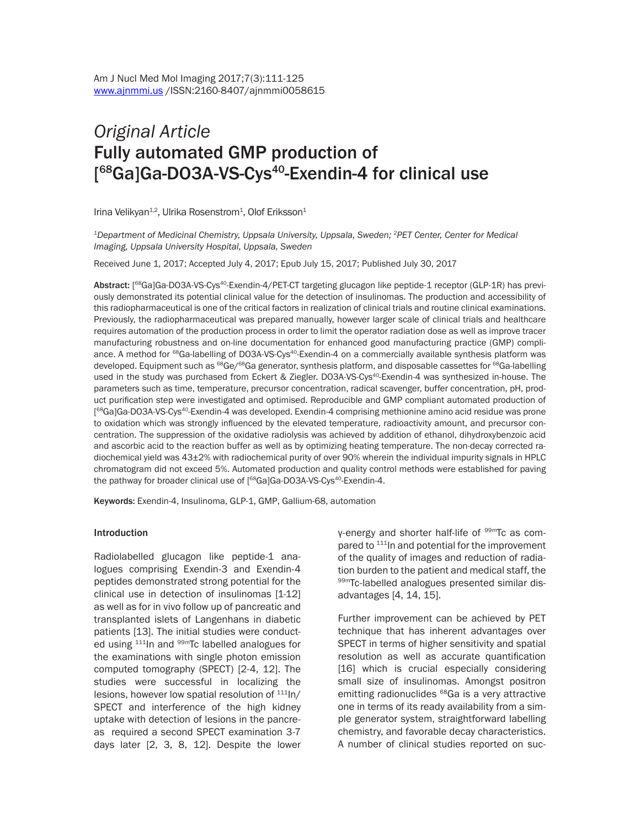# *Original Article*  Fully automated GMP production of [<sup>68</sup>Ga]Ga-DO3A-VS-Cys<sup>40</sup>-Exendin-4 for clinical use

Irina Velikyan<sup>1,2</sup>, Ulrika Rosenstrom<sup>1</sup>, Olof Eriksson<sup>1</sup>

*1Department of Medicinal Chemistry, Uppsala University, Uppsala, Sweden; 2PET Center, Center for Medical Imaging, Uppsala University Hospital, Uppsala, Sweden*

Received June 1, 2017; Accepted July 4, 2017; Epub July 15, 2017; Published July 30, 2017

Abstract: [<sup>68</sup>Ga]Ga-DO3A-VS-Cys<sup>40</sup>-Exendin-4/PET-CT targeting glucagon like peptide-1 receptor (GLP-1R) has previously demonstrated its potential clinical value for the detection of insulinomas. The production and accessibility of this radiopharmaceutical is one of the critical factors in realization of clinical trials and routine clinical examinations. Previously, the radiopharmaceutical was prepared manually, however larger scale of clinical trials and healthcare requires automation of the production process in order to limit the operator radiation dose as well as improve tracer manufacturing robustness and on-line documentation for enhanced good manufacturing practice (GMP) compliance. A method for <sup>68</sup>Ga-labelling of DO3A-VS-Cys<sup>40</sup>-Exendin-4 on a commercially available synthesis platform was developed. Equipment such as <sup>68</sup>Ge/<sup>68</sup>Ga generator, synthesis platform, and disposable cassettes for <sup>68</sup>Ga-labelling used in the study was purchased from Eckert & Ziegler. DO3A-VS-Cys<sup>40</sup>-Exendin-4 was synthesized in-house. The parameters such as time, temperature, precursor concentration, radical scavenger, buffer concentration, pH, product purification step were investigated and optimised. Reproducible and GMP compliant automated production of [ 68Ga]Ga-DO3A-VS-Cys40-Exendin-4 was developed. Exendin-4 comprising methionine amino acid residue was prone to oxidation which was strongly influenced by the elevated temperature, radioactivity amount, and precursor concentration. The suppression of the oxidative radiolysis was achieved by addition of ethanol, dihydroxybenzoic acid and ascorbic acid to the reaction buffer as well as by optimizing heating temperature. The non-decay corrected radiochemical yield was 43±2% with radiochemical purity of over 90% wherein the individual impurity signals in HPLC chromatogram did not exceed 5%. Automated production and quality control methods were established for paving the pathway for broader clinical use of [<sup>68</sup>Ga]Ga-DO3A-VS-Cys<sup>40</sup>-Exendin-4.

Keywords: Exendin-4, Insulinoma, GLP-1, GMP, Gallium-68, automation

#### Introduction

Radiolabelled glucagon like peptide-1 analogues comprising Exendin-3 and Exendin-4 peptides demonstrated strong potential for the clinical use in detection of insulinomas [1-12] as well as for in vivo follow up of pancreatic and transplanted islets of Langenhans in diabetic patients [13]. The initial studies were conducted using <sup>111</sup>In and <sup>99m</sup>Tc labelled analogues for the examinations with single photon emission computed tomography (SPECT) [2-4, 12]. The studies were successful in localizing the lesions, however low spatial resolution of  $111$ In/ SPECT and interference of the high kidney uptake with detection of lesions in the pancreas required a second SPECT examination 3-7 days later [2, 3, 8, 12]. Despite the lower

γ-energy and shorter half-life of 99mTc as compared to <sup>111</sup>In and potential for the improvement of the quality of images and reduction of radiation burden to the patient and medical staff, the 99mTc-labelled analogues presented similar disadvantages [4, 14, 15].

Further improvement can be achieved by PET technique that has inherent advantages over SPECT in terms of higher sensitivity and spatial resolution as well as accurate quantification [16] which is crucial especially considering small size of insulinomas. Amongst positron emitting radionuclides <sup>68</sup>Ga is a very attractive one in terms of its ready availability from a simple generator system, straightforward labelling chemistry, and favorable decay characteristics. A number of clinical studies reported on suc-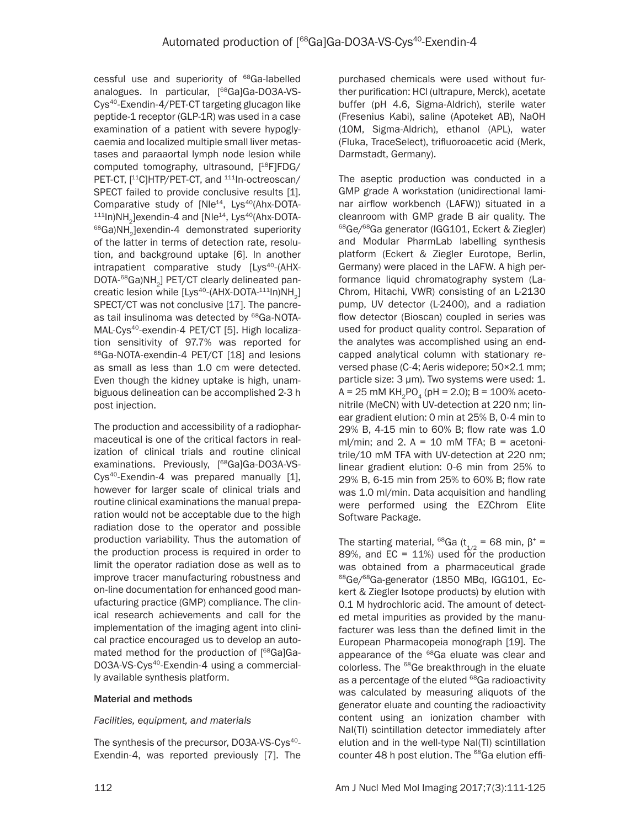cessful use and superiority of <sup>68</sup>Ga-labelled analogues. In particular, [<sup>68</sup>Ga]Ga-DO3A-VS-Cys40-Exendin-4/PET-CT targeting glucagon like peptide-1 receptor (GLP-1R) was used in a case examination of a patient with severe hypoglycaemia and localized multiple small liver metastases and paraaortal lymph node lesion while computed tomography, ultrasound, [<sup>18</sup>F]FDG/ PET-CT, [<sup>11</sup>C]HTP/PET-CT, and <sup>111</sup>In-octreoscan/ SPECT failed to provide conclusive results [1]. Comparative study of [Nle<sup>14</sup>, Lys<sup>40</sup>(Ahx-DOTA- $111$ In)NH<sub>2</sub>]exendin-4 and [Nle<sup>14</sup>, Lys<sup>40</sup>(Ahx-DOTA- $68$ Ga)NH<sub>2</sub>]exendin-4 demonstrated superiority of the latter in terms of detection rate, resolution, and background uptake [6]. In another  $intrapatient$  comparative study  $[Lys<sup>40</sup>-(AHX-$ DOTA-<sup>68</sup>Ga)NH<sub>2</sub>] PET/CT clearly delineated pancreatic lesion while  $[Lys^{40}-(AHX-DOTA^{-111}ln)NH_{2}]$ SPECT/CT was not conclusive [17]. The pancreas tail insulinoma was detected by <sup>68</sup>Ga-NOTA-MAL-Cys40-exendin-4 PET/CT [5]. High localization sensitivity of 97.7% was reported for 68Ga-NOTA-exendin-4 PET/CT [18] and lesions as small as less than 1.0 cm were detected. Even though the kidney uptake is high, unambiguous delineation can be accomplished 2-3 h post injection.

The production and accessibility of a radiopharmaceutical is one of the critical factors in realization of clinical trials and routine clinical examinations. Previously, [<sup>68</sup>Ga]Ga-DO3A-VS-Cys<sup>40</sup>-Exendin-4 was prepared manually [1], however for larger scale of clinical trials and routine clinical examinations the manual preparation would not be acceptable due to the high radiation dose to the operator and possible production variability. Thus the automation of the production process is required in order to limit the operator radiation dose as well as to improve tracer manufacturing robustness and on-line documentation for enhanced good manufacturing practice (GMP) compliance. The clinical research achievements and call for the implementation of the imaging agent into clinical practice encouraged us to develop an automated method for the production of [68Ga]Ga-DO3A-VS-Cys<sup>40</sup>-Exendin-4 using a commercially available synthesis platform.

# Material and methods

# *Facilities, equipment, and materials*

The synthesis of the precursor, DO3A-VS-Cys<sup>40</sup>-Exendin-4, was reported previously [7]. The

purchased chemicals were used without further purification: HCl (ultrapure, Merck), acetate buffer (pH 4.6, Sigma-Aldrich), sterile water (Fresenius Kabi), saline (Apoteket AB), NaOH (10M, Sigma-Aldrich), ethanol (APL), water (Fluka, TraceSelect), trifluoroacetic acid (Merk, Darmstadt, Germany).

The aseptic production was conducted in a GMP grade A workstation (unidirectional laminar airflow workbench (LAFW)) situated in a cleanroom with GMP grade B air quality. The 68Ge/68Ga generator (IGG101, Eckert & Ziegler) and Modular PharmLab labelling synthesis platform (Eckert & Ziegler Eurotope, Berlin, Germany) were placed in the LAFW. A high performance liquid chromatography system (La-Chrom, Hitachi, VWR) consisting of an L-2130 pump, UV detector (L-2400), and a radiation flow detector (Bioscan) coupled in series was used for product quality control. Separation of the analytes was accomplished using an endcapped analytical column with stationary reversed phase (C-4; Aeris widepore; 50×2.1 mm; particle size: 3 µm). Two systems were used: 1.  $A = 25$  mM KH<sub>2</sub>PO<sub>4</sub> (pH = 2.0); B = 100% acetonitrile (MeCN) with UV-detection at 220 nm; linear gradient elution: 0 min at 25% B, 0-4 min to 29% B, 4-15 min to 60% B; flow rate was 1.0 ml/min; and 2.  $A = 10$  mM TFA; B = acetonitrile/10 mM TFA with UV-detection at 220 nm; linear gradient elution: 0-6 min from 25% to 29% B, 6-15 min from 25% to 60% B; flow rate was 1.0 ml/min. Data acquisition and handling were performed using the EZChrom Elite Software Package.

The starting material, <sup>68</sup>Ga (t<sub>1/2</sub> = 68 min,  $\beta^*$  = 89%, and  $EC = 11\%$ ) used for the production was obtained from a pharmaceutical grade 68Ge/68Ga-generator (1850 MBq, IGG101, Eckert & Ziegler Isotope products) by elution with 0.1 M hydrochloric acid. The amount of detected metal impurities as provided by the manufacturer was less than the defined limit in the European Pharmacopeia monograph [19]. The appearance of the <sup>68</sup>Ga eluate was clear and colorless. The <sup>68</sup>Ge breakthrough in the eluate as a percentage of the eluted <sup>68</sup>Ga radioactivity was calculated by measuring aliquots of the generator eluate and counting the radioactivity content using an ionization chamber with NaI(Tl) scintillation detector immediately after elution and in the well-type NaI(Tl) scintillation counter 48 h post elution. The <sup>68</sup>Ga elution effi-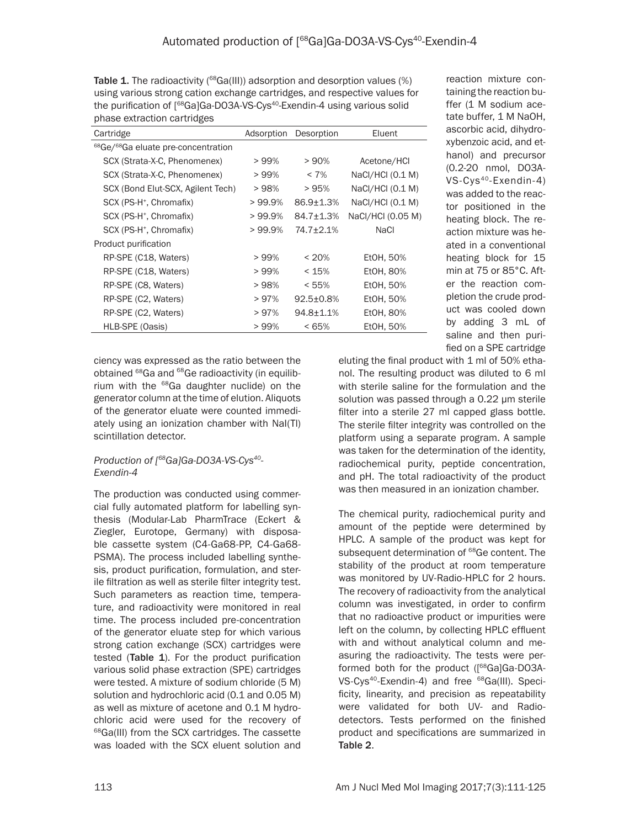Table 1. The radioactivity ( $^{68}$ Ga(III)) adsorption and desorption values (%) using various strong cation exchange cartridges, and respective values for the purification of [<sup>68</sup>Ga]Ga-DO3A-VS-Cys<sup>40</sup>-Exendin-4 using various solid phase extraction cartridges

| Cartridge                                                   | Adsorption | Desorption       | Eluent            |  |
|-------------------------------------------------------------|------------|------------------|-------------------|--|
| <sup>68</sup> Ge/ <sup>68</sup> Ga eluate pre-concentration |            |                  |                   |  |
| SCX (Strata-X-C, Phenomenex)                                | > 99%      | >90%             | Acetone/HCI       |  |
| SCX (Strata-X-C, Phenomenex)                                | > 99%      | $< 7\%$          | NaCl/HCl (0.1 M)  |  |
| SCX (Bond Elut-SCX, Agilent Tech)                           | > 98%      | > 95%            | NaCl/HCl (0.1 M)  |  |
| SCX (PS-H <sup>+</sup> , Chromafix)                         | $>99.9\%$  | $86.9 \pm 1.3\%$ | NaCl/HCl (0.1 M)  |  |
| SCX (PS-H <sup>+</sup> , Chromafix)                         | $>99.9\%$  | $84.7 \pm 1.3\%$ | NaCl/HCl (0.05 M) |  |
| SCX (PS-H <sup>+</sup> , Chromafix)                         | $>99.9\%$  | 74.7±2.1%        | NaCl              |  |
| Product purification                                        |            |                  |                   |  |
| RP-SPE (C18, Waters)                                        | $>99\%$    | $< 20\%$         | Et0H, 50%         |  |
| RP-SPE (C18, Waters)                                        | > 99%      | < 15%            | EtOH, 80%         |  |
| RP-SPE (C8, Waters)                                         | > 98%      | < 55%            | EtOH, 50%         |  |
| RP-SPE (C2, Waters)                                         | >97%       | $92.5 \pm 0.8\%$ | Et0H, 50%         |  |
| RP-SPE (C2, Waters)                                         | >97%       | $94.8 \pm 1.1\%$ | Et0H, 80%         |  |
| HLB-SPE (Oasis)                                             | > 99%      | < 65%            | Et0H, 50%         |  |
|                                                             |            |                  |                   |  |

reaction mixture containing the reaction buffer (1 M sodium acetate buffer, 1 M NaOH, ascorbic acid, dihydroxybenzoic acid, and ethanol) and precursor (0.2-20 nmol, DO3A-VS-Cys40-Exendin-4) was added to the reactor positioned in the heating block. The reaction mixture was heated in a conventional heating block for 15 min at 75 or 85°C. After the reaction completion the crude product was cooled down by adding 3 mL of saline and then purified on a SPE cartridge

ciency was expressed as the ratio between the obtained <sup>68</sup>Ga and <sup>68</sup>Ge radioactivity (in equilibrium with the  $^{68}$ Ga daughter nuclide) on the generator column at the time of elution. Aliquots of the generator eluate were counted immediately using an ionization chamber with NaI(Tl) scintillation detector.

# *Production of [68Ga]Ga-DO3A-VS-Cys40- Exendin-4*

The production was conducted using commercial fully automated platform for labelling synthesis (Modular-Lab PharmTrace (Eckert & Ziegler, Eurotope, Germany) with disposable cassette system (C4-Ga68-PP, C4-Ga68- PSMA). The process included labelling synthesis, product purification, formulation, and sterile filtration as well as sterile filter integrity test. Such parameters as reaction time, temperature, and radioactivity were monitored in real time. The process included pre-concentration of the generator eluate step for which various strong cation exchange (SCX) cartridges were tested (Table  $1$ ). For the product purification various solid phase extraction (SPE) cartridges were tested. A mixture of sodium chloride (5 M) solution and hydrochloric acid (0.1 and 0.05 M) as well as mixture of acetone and 0.1 M hydrochloric acid were used for the recovery of <sup>68</sup>Ga(III) from the SCX cartridges. The cassette was loaded with the SCX eluent solution and eluting the final product with 1 ml of 50% ethanol. The resulting product was diluted to 6 ml with sterile saline for the formulation and the solution was passed through a 0.22 µm sterile filter into a sterile 27 ml capped glass bottle. The sterile filter integrity was controlled on the platform using a separate program. A sample was taken for the determination of the identity, radiochemical purity, peptide concentration, and pH. The total radioactivity of the product was then measured in an ionization chamber.

The chemical purity, radiochemical purity and amount of the peptide were determined by HPLC. A sample of the product was kept for subsequent determination of <sup>68</sup>Ge content. The stability of the product at room temperature was monitored by UV-Radio-HPLC for 2 hours. The recovery of radioactivity from the analytical column was investigated, in order to confirm that no radioactive product or impurities were left on the column, by collecting HPLC effluent with and without analytical column and measuring the radioactivity. The tests were performed both for the product ([68Ga]Ga-DO3A-VS-Cys<sup>40</sup>-Exendin-4) and free <sup>68</sup>Ga(III). Specificity, linearity, and precision as repeatability were validated for both UV- and Radiodetectors. Tests performed on the finished product and specifications are summarized in Table 2.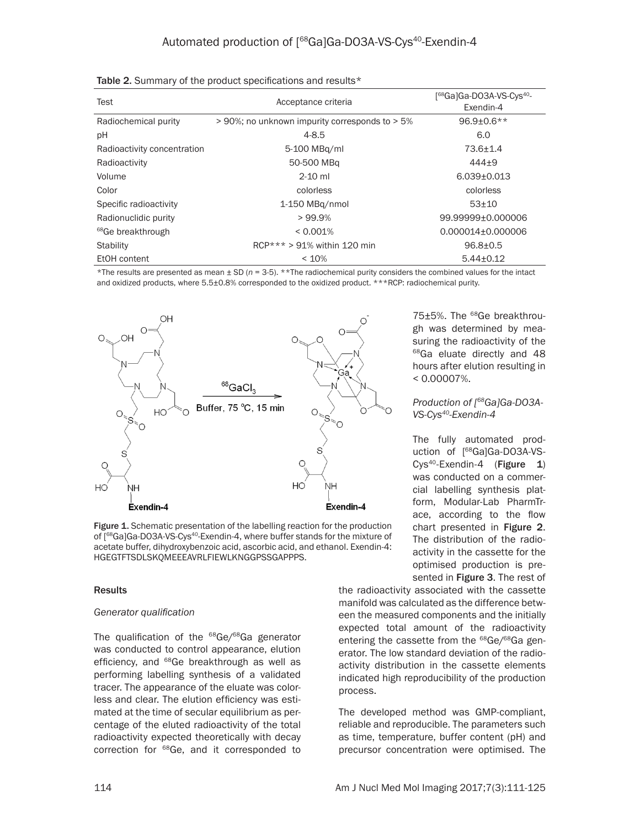| Test                          | Acceptance criteria                            | [ <sup>68</sup> Ga]Ga-DO3A-VS-Cys <sup>40</sup> -<br>Exendin-4 |  |
|-------------------------------|------------------------------------------------|----------------------------------------------------------------|--|
| Radiochemical purity          | > 90%; no unknown impurity corresponds to > 5% | $96.9 + 0.6**$                                                 |  |
| pH                            | $4 - 8.5$                                      | 6.0                                                            |  |
| Radioactivity concentration   | 5-100 MBg/ml                                   | $73.6 \pm 1.4$                                                 |  |
| Radioactivity                 | 50-500 MBg                                     | $444+9$                                                        |  |
| Volume                        | $2 - 10$ ml                                    | $6.039 \pm 0.013$                                              |  |
| Color                         | colorless                                      | colorless                                                      |  |
| Specific radioactivity        | 1-150 MBg/nmol                                 | $53+10$                                                        |  |
| Radionuclidic purity          | >99.9%                                         | 99.99999+0.000006                                              |  |
| <sup>68</sup> Ge breakthrough | < 0.001%                                       | 0.000014±0.000006                                              |  |
| <b>Stability</b>              | $RCP***$ > 91% within 120 min                  | $96.8 \pm 0.5$                                                 |  |
| EtOH content                  | < 10%                                          | $5.44 \pm 0.12$                                                |  |

|  |  |  |  | Table 2. Summary of the product specifications and results* |  |  |
|--|--|--|--|-------------------------------------------------------------|--|--|
|--|--|--|--|-------------------------------------------------------------|--|--|

\*The results are presented as mean ± SD (*n* = 3-5). \*\*The radiochemical purity considers the combined values for the intact and oxidized products, where  $5.5\pm0.8\%$  corresponded to the oxidized product. \*\*\*RCP: radiochemical purity.



Figure 1. Schematic presentation of the labelling reaction for the production of [<sup>68</sup>Ga]Ga-DO3A-VS-Cys<sup>40</sup>-Exendin-4, where buffer stands for the mixture of acetate buffer, dihydroxybenzoic acid, ascorbic acid, and ethanol. Exendin-4: HGEGTFTSDLSKQMEEEAVRLFIEWLKNGGPSSGAPPPS.

#### **Results**

#### *Generator qualification*

The qualification of the <sup>68</sup>Ge/<sup>68</sup>Ga generator was conducted to control appearance, elution efficiency, and <sup>68</sup>Ge breakthrough as well as performing labelling synthesis of a validated tracer. The appearance of the eluate was colorless and clear. The elution efficiency was estimated at the time of secular equilibrium as percentage of the eluted radioactivity of the total radioactivity expected theoretically with decay correction for <sup>68</sup>Ge, and it corresponded to

75±5%. The <sup>68</sup>Ge breakthrough was determined by measuring the radioactivity of the <sup>68</sup>Ga eluate directly and 48 hours after elution resulting in < 0.00007%.

## *Production of [68Ga]Ga-DO3A-VS-Cys40-Exendin-4*

The fully automated production of [<sup>68</sup>Ga]Ga-DO3A-VS-Cys<sup>40</sup>-Exendin-4 (Figure 1) was conducted on a commercial labelling synthesis platform, Modular-Lab PharmTrace, according to the flow chart presented in Figure 2. The distribution of the radioactivity in the cassette for the optimised production is presented in Figure 3. The rest of

the radioactivity associated with the cassette manifold was calculated as the difference between the measured components and the initially expected total amount of the radioactivity entering the cassette from the <sup>68</sup>Ge/<sup>68</sup>Ga generator. The low standard deviation of the radioactivity distribution in the cassette elements indicated high reproducibility of the production process.

The developed method was GMP-compliant, reliable and reproducible. The parameters such as time, temperature, buffer content (pH) and precursor concentration were optimised. The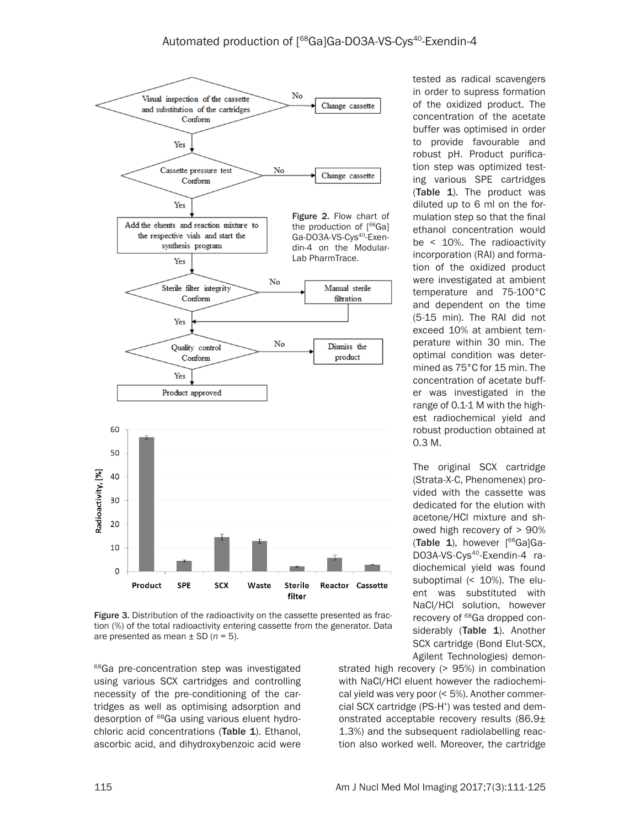

Figure 3. Distribution of the radioactivity on the cassette presented as fraction (%) of the total radioactivity entering cassette from the generator. Data are presented as mean ± SD (*n* = 5).

<sup>68</sup>Ga pre-concentration step was investigated using various SCX cartridges and controlling necessity of the pre-conditioning of the cartridges as well as optimising adsorption and desorption of <sup>68</sup>Ga using various eluent hydrochloric acid concentrations (Table 1). Ethanol, ascorbic acid, and dihydroxybenzoic acid were

tested as radical scavengers in order to supress formation of the oxidized product. The concentration of the acetate buffer was optimised in order to provide favourable and robust pH. Product purification step was optimized testing various SPE cartridges (Table 1). The product was diluted up to 6 ml on the formulation step so that the final ethanol concentration would be < 10%. The radioactivity incorporation (RAI) and formation of the oxidized product were investigated at ambient temperature and 75-100°C and dependent on the time (5-15 min). The RAI did not exceed 10% at ambient temperature within 30 min. The optimal condition was determined as 75°C for 15 min. The concentration of acetate buffer was investigated in the range of 0.1-1 M with the highest radiochemical yield and robust production obtained at 0.3 M.

The original SCX cartridge (Strata-X-C, Phenomenex) provided with the cassette was dedicated for the elution with acetone/HCl mixture and showed high recovery of > 90% (Table 1), however [68Ga]Ga-DO3A-VS-Cys<sup>40</sup>-Exendin-4 radiochemical yield was found suboptimal (< 10%). The eluent was substituted with NaCl/HCl solution, however recovery of <sup>68</sup>Ga dropped considerably (Table 1). Another SCX cartridge (Bond Elut-SCX, Agilent Technologies) demon-

strated high recovery (> 95%) in combination with NaCl/HCl eluent however the radiochemical yield was very poor (< 5%). Another commercial SCX cartridge (PS-H<sup>+</sup>) was tested and demonstrated acceptable recovery results (86.9± 1.3%) and the subsequent radiolabelling reaction also worked well. Moreover, the cartridge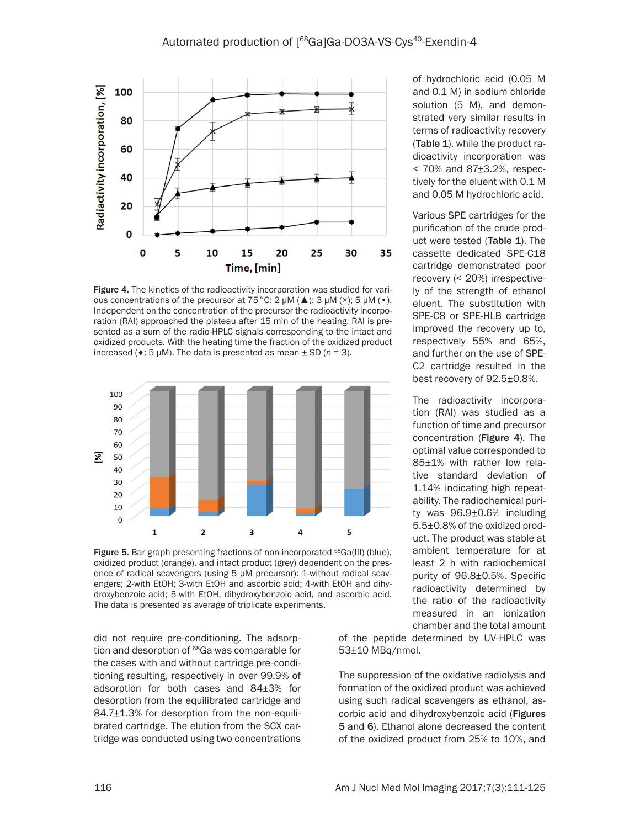

Figure 4. The kinetics of the radioactivity incorporation was studied for various concentrations of the precursor at  $75^{\circ}$ C: 2  $\mu$ M ( $\triangle$ ); 3  $\mu$ M ( $\times$ ); 5  $\mu$ M ( $\bullet$ ). Independent on the concentration of the precursor the radioactivity incorporation (RAI) approached the plateau after 15 min of the heating. RAI is presented as a sum of the radio-HPLC signals corresponding to the intact and oxidized products. With the heating time the fraction of the oxidized product increased ( $\leftrightarrow$ ; 5 µM). The data is presented as mean  $\pm$  SD ( $n = 3$ ).



Figure 5. Bar graph presenting fractions of non-incorporated <sup>68</sup>Ga(III) (blue), oxidized product (orange), and intact product (grey) dependent on the presence of radical scavengers (using 5 µM precursor): 1-without radical scavengers; 2-with EtOH; 3-with EtOH and ascorbic acid; 4-with EtOH and dihydroxybenzoic acid; 5-with EtOH, dihydroxybenzoic acid, and ascorbic acid. The data is presented as average of triplicate experiments.

did not require pre-conditioning. The adsorption and desorption of <sup>68</sup>Ga was comparable for the cases with and without cartridge pre-conditioning resulting, respectively in over 99.9% of adsorption for both cases and 84±3% for desorption from the equilibrated cartridge and 84.7±1.3% for desorption from the non-equilibrated cartridge. The elution from the SCX cartridge was conducted using two concentrations

of hydrochloric acid (0.05 M and 0.1 M) in sodium chloride solution (5 M), and demonstrated very similar results in terms of radioactivity recovery (Table 1), while the product radioactivity incorporation was < 70% and 87±3.2%, respectively for the eluent with 0.1 M and 0.05 M hydrochloric acid.

Various SPE cartridges for the purification of the crude product were tested (Table 1). The cassette dedicated SPE-C18 cartridge demonstrated poor recovery (< 20%) irrespectively of the strength of ethanol eluent. The substitution with SPE-C8 or SPE-HLB cartridge improved the recovery up to, respectively 55% and 65%, and further on the use of SPE-C2 cartridge resulted in the best recovery of 92.5±0.8%.

The radioactivity incorporation (RAI) was studied as a function of time and precursor concentration (Figure 4). The optimal value corresponded to 85±1% with rather low relative standard deviation of 1.14% indicating high repeatability. The radiochemical purity was 96.9±0.6% including 5.5±0.8% of the oxidized product. The product was stable at ambient temperature for at least 2 h with radiochemical purity of 96.8±0.5%. Specific radioactivity determined by the ratio of the radioactivity measured in an ionization chamber and the total amount

of the peptide determined by UV-HPLC was 53±10 MBq/nmol.

The suppression of the oxidative radiolysis and formation of the oxidized product was achieved using such radical scavengers as ethanol, ascorbic acid and dihydroxybenzoic acid (Figures 5 and 6). Ethanol alone decreased the content of the oxidized product from 25% to 10%, and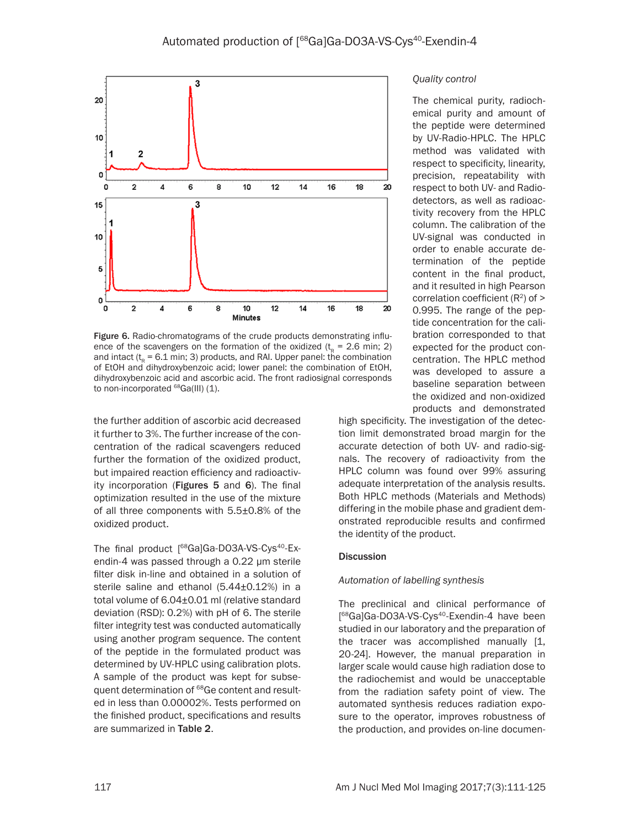

Figure 6. Radio-chromatograms of the crude products demonstrating influence of the scavengers on the formation of the oxidized  $(t_0 = 2.6 \text{ min}; 2)$ and intact ( $t<sub>R</sub> = 6.1$  min; 3) products, and RAI. Upper panel: the combination of EtOH and dihydroxybenzoic acid; lower panel: the combination of EtOH, dihydroxybenzoic acid and ascorbic acid. The front radiosignal corresponds to non-incorporated <sup>68</sup>Ga(III) (1).

the further addition of ascorbic acid decreased it further to 3%. The further increase of the concentration of the radical scavengers reduced further the formation of the oxidized product, but impaired reaction efficiency and radioactivity incorporation (Figures 5 and 6). The final optimization resulted in the use of the mixture of all three components with 5.5±0.8% of the oxidized product.

The final product [68Ga]Ga-DO3A-VS-Cys<sup>40</sup>-Exendin-4 was passed through a 0.22 µm sterile filter disk in-line and obtained in a solution of sterile saline and ethanol (5.44±0.12%) in a total volume of 6.04±0.01 ml (relative standard deviation (RSD): 0.2%) with pH of 6. The sterile filter integrity test was conducted automatically using another program sequence. The content of the peptide in the formulated product was determined by UV-HPLC using calibration plots. A sample of the product was kept for subsequent determination of <sup>68</sup>Ge content and resulted in less than 0.00002%. Tests performed on the finished product, specifications and results are summarized in Table 2.

#### *Quality control*

The chemical purity, radiochemical purity and amount of the peptide were determined by UV-Radio-HPLC. The HPLC method was validated with respect to specificity, linearity, precision, repeatability with respect to both UV- and Radiodetectors, as well as radioactivity recovery from the HPLC column. The calibration of the UV-signal was conducted in order to enable accurate determination of the peptide content in the final product, and it resulted in high Pearson correlation coefficient  $(R<sup>2</sup>)$  of  $>$ 0.995. The range of the peptide concentration for the calibration corresponded to that expected for the product concentration. The HPLC method was developed to assure a baseline separation between the oxidized and non-oxidized products and demonstrated

high specificity. The investigation of the detection limit demonstrated broad margin for the accurate detection of both UV- and radio-signals. The recovery of radioactivity from the HPLC column was found over 99% assuring adequate interpretation of the analysis results. Both HPLC methods (Materials and Methods) differing in the mobile phase and gradient demonstrated reproducible results and confirmed the identity of the product.

#### Discussion

#### *Automation of labelling synthesis*

The preclinical and clinical performance of [<sup>68</sup>Ga]Ga-DO3A-VS-Cys<sup>40</sup>-Exendin-4 have been studied in our laboratory and the preparation of the tracer was accomplished manually [1, 20-24]. However, the manual preparation in larger scale would cause high radiation dose to the radiochemist and would be unacceptable from the radiation safety point of view. The automated synthesis reduces radiation exposure to the operator, improves robustness of the production, and provides on-line documen-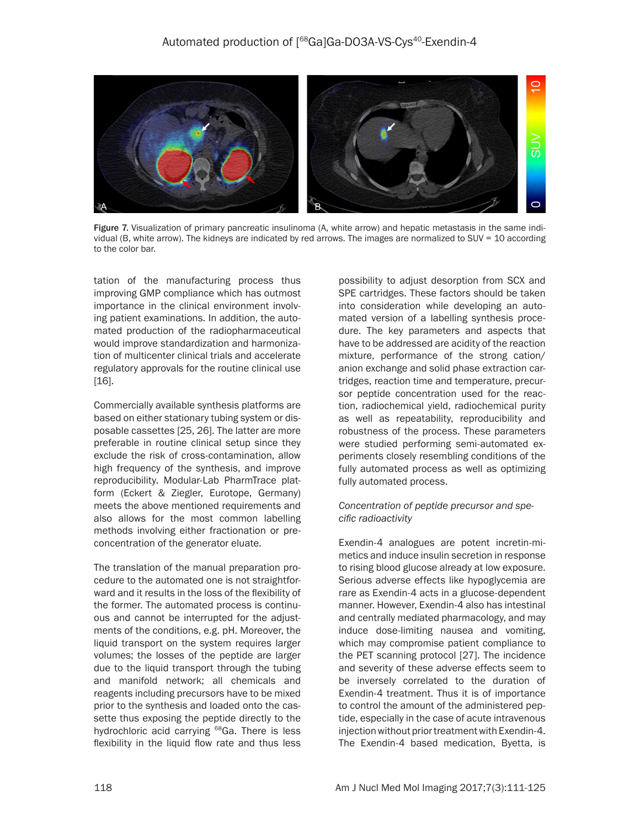

Figure 7. Visualization of primary pancreatic insulinoma (A, white arrow) and hepatic metastasis in the same individual (B, white arrow). The kidneys are indicated by red arrows. The images are normalized to SUV = 10 according to the color bar.

tation of the manufacturing process thus improving GMP compliance which has outmost importance in the clinical environment involving patient examinations. In addition, the automated production of the radiopharmaceutical would improve standardization and harmonization of multicenter clinical trials and accelerate regulatory approvals for the routine clinical use [16].

Commercially available synthesis platforms are based on either stationary tubing system or disposable cassettes [25, 26]. The latter are more preferable in routine clinical setup since they exclude the risk of cross-contamination, allow high frequency of the synthesis, and improve reproducibility. Modular-Lab PharmTrace platform (Eckert & Ziegler, Eurotope, Germany) meets the above mentioned requirements and also allows for the most common labelling methods involving either fractionation or preconcentration of the generator eluate.

The translation of the manual preparation procedure to the automated one is not straightforward and it results in the loss of the flexibility of the former. The automated process is continuous and cannot be interrupted for the adjustments of the conditions, e.g. pH. Moreover, the liquid transport on the system requires larger volumes; the losses of the peptide are larger due to the liquid transport through the tubing and manifold network; all chemicals and reagents including precursors have to be mixed prior to the synthesis and loaded onto the cassette thus exposing the peptide directly to the hydrochloric acid carrying <sup>68</sup>Ga. There is less flexibility in the liquid flow rate and thus less possibility to adjust desorption from SCX and SPE cartridges. These factors should be taken into consideration while developing an automated version of a labelling synthesis procedure. The key parameters and aspects that have to be addressed are acidity of the reaction mixture, performance of the strong cation/ anion exchange and solid phase extraction cartridges, reaction time and temperature, precursor peptide concentration used for the reaction, radiochemical yield, radiochemical purity as well as repeatability, reproducibility and robustness of the process. These parameters were studied performing semi-automated experiments closely resembling conditions of the fully automated process as well as optimizing fully automated process.

#### *Concentration of peptide precursor and specific radioactivity*

Exendin-4 analogues are potent incretin-mimetics and induce insulin secretion in response to rising blood glucose already at low exposure. Serious adverse effects like hypoglycemia are rare as Exendin-4 acts in a glucose-dependent manner. However, Exendin-4 also has intestinal and centrally mediated pharmacology, and may induce dose-limiting nausea and vomiting, which may compromise patient compliance to the PET scanning protocol [27]. The incidence and severity of these adverse effects seem to be inversely correlated to the duration of Exendin-4 treatment. Thus it is of importance to control the amount of the administered peptide, especially in the case of acute intravenous injection without prior treatment with Exendin-4. The Exendin-4 based medication, Byetta, is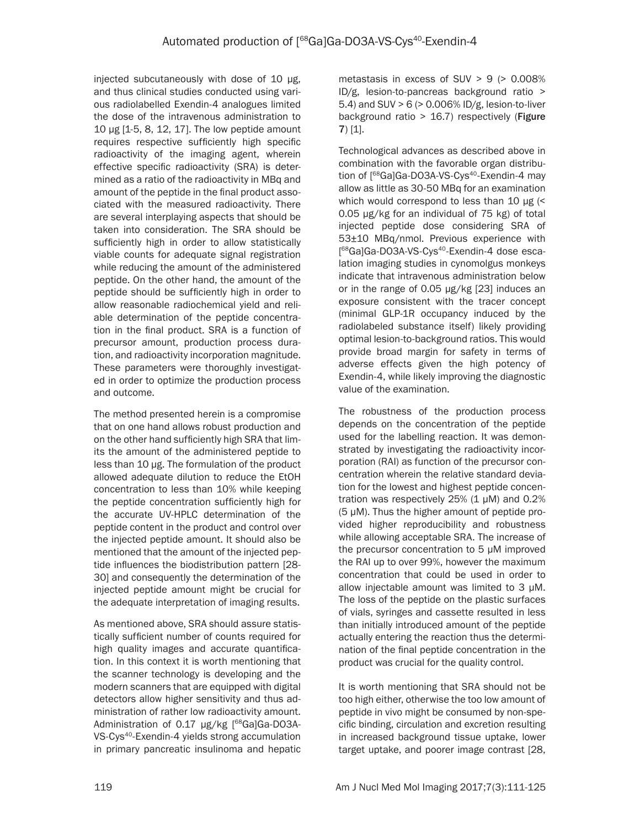injected subcutaneously with dose of 10 µg, and thus clinical studies conducted using various radiolabelled Exendin-4 analogues limited the dose of the intravenous administration to 10 µg [1-5, 8, 12, 17]. The low peptide amount requires respective sufficiently high specific radioactivity of the imaging agent, wherein effective specific radioactivity (SRA) is determined as a ratio of the radioactivity in MBq and amount of the peptide in the final product associated with the measured radioactivity. There are several interplaying aspects that should be taken into consideration. The SRA should be sufficiently high in order to allow statistically viable counts for adequate signal registration while reducing the amount of the administered peptide. On the other hand, the amount of the peptide should be sufficiently high in order to allow reasonable radiochemical yield and reliable determination of the peptide concentration in the final product. SRA is a function of precursor amount, production process duration, and radioactivity incorporation magnitude. These parameters were thoroughly investigated in order to optimize the production process and outcome.

The method presented herein is a compromise that on one hand allows robust production and on the other hand sufficiently high SRA that limits the amount of the administered peptide to less than 10 µg. The formulation of the product allowed adequate dilution to reduce the EtOH concentration to less than 10% while keeping the peptide concentration sufficiently high for the accurate UV-HPLC determination of the peptide content in the product and control over the injected peptide amount. It should also be mentioned that the amount of the injected peptide influences the biodistribution pattern [28- 30] and consequently the determination of the injected peptide amount might be crucial for the adequate interpretation of imaging results.

As mentioned above, SRA should assure statistically sufficient number of counts required for high quality images and accurate quantification. In this context it is worth mentioning that the scanner technology is developing and the modern scanners that are equipped with digital detectors allow higher sensitivity and thus administration of rather low radioactivity amount. Administration of 0.17 µg/kg [<sup>68</sup>Ga]Ga-DO3A-VS-Cys<sup>40</sup>-Exendin-4 yields strong accumulation in primary pancreatic insulinoma and hepatic metastasis in excess of SUV  $> 9$  ( $> 0.008\%$ ID/g, lesion-to-pancreas background ratio > 5.4) and SUV > 6 (> 0.006% ID/g, lesion-to-liver background ratio > 16.7) respectively (Figure 7) [1].

Technological advances as described above in combination with the favorable organ distribution of [<sup>68</sup>Ga]Ga-DO3A-VS-Cys<sup>40</sup>-Exendin-4 may allow as little as 30-50 MBq for an examination which would correspond to less than 10 µg (< 0.05 µg/kg for an individual of 75 kg) of total injected peptide dose considering SRA of 53±10 MBq/nmol. Previous experience with [<sup>68</sup>Ga]Ga-DO3A-VS-Cys<sup>40</sup>-Exendin-4 dose escalation imaging studies in cynomolgus monkeys indicate that intravenous administration below or in the range of 0.05 µg/kg [23] induces an exposure consistent with the tracer concept (minimal GLP-1R occupancy induced by the radiolabeled substance itself) likely providing optimal lesion-to-background ratios. This would provide broad margin for safety in terms of adverse effects given the high potency of Exendin-4, while likely improving the diagnostic value of the examination.

The robustness of the production process depends on the concentration of the peptide used for the labelling reaction. It was demonstrated by investigating the radioactivity incorporation (RAI) as function of the precursor concentration wherein the relative standard deviation for the lowest and highest peptide concentration was respectively 25% (1 μM) and 0.2% (5 μM). Thus the higher amount of peptide provided higher reproducibility and robustness while allowing acceptable SRA. The increase of the precursor concentration to 5 μM improved the RAI up to over 99%, however the maximum concentration that could be used in order to allow injectable amount was limited to 3 μM. The loss of the peptide on the plastic surfaces of vials, syringes and cassette resulted in less than initially introduced amount of the peptide actually entering the reaction thus the determination of the final peptide concentration in the product was crucial for the quality control.

It is worth mentioning that SRA should not be too high either, otherwise the too low amount of peptide in vivo might be consumed by non-specific binding, circulation and excretion resulting in increased background tissue uptake, lower target uptake, and poorer image contrast [28,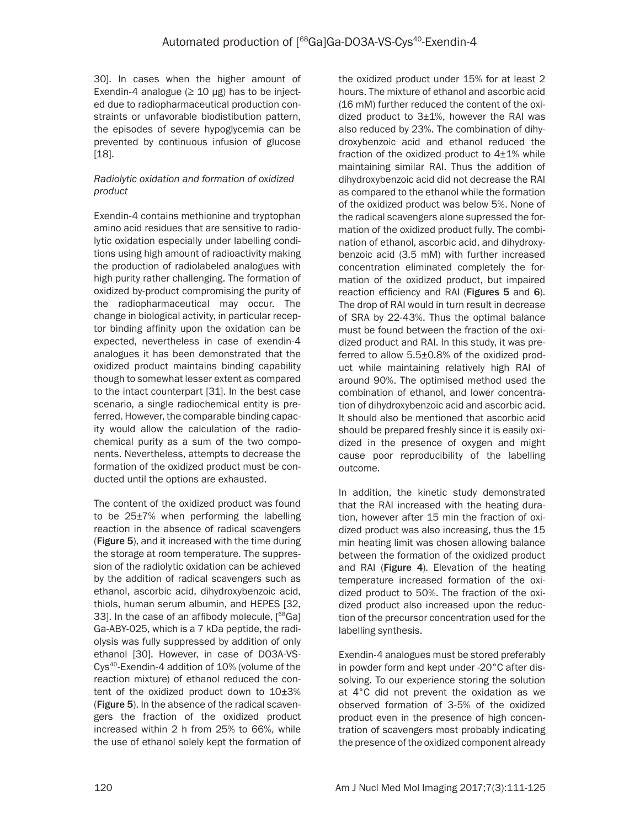30]. In cases when the higher amount of Exendin-4 analogue ( $\geq 10 \text{ µg}$ ) has to be injected due to radiopharmaceutical production constraints or unfavorable biodistibution pattern, the episodes of severe hypoglycemia can be prevented by continuous infusion of glucose [18].

# *Radiolytic oxidation and formation of oxidized product*

Exendin-4 contains methionine and tryptophan amino acid residues that are sensitive to radiolytic oxidation especially under labelling conditions using high amount of radioactivity making the production of radiolabeled analogues with high purity rather challenging. The formation of oxidized by-product compromising the purity of the radiopharmaceutical may occur. The change in biological activity, in particular receptor binding affinity upon the oxidation can be expected, nevertheless in case of exendin-4 analogues it has been demonstrated that the oxidized product maintains binding capability though to somewhat lesser extent as compared to the intact counterpart [31]. In the best case scenario, a single radiochemical entity is preferred. However, the comparable binding capacity would allow the calculation of the radiochemical purity as a sum of the two components. Nevertheless, attempts to decrease the formation of the oxidized product must be conducted until the options are exhausted.

The content of the oxidized product was found to be 25±7% when performing the labelling reaction in the absence of radical scavengers (Figure 5), and it increased with the time during the storage at room temperature. The suppression of the radiolytic oxidation can be achieved by the addition of radical scavengers such as ethanol, ascorbic acid, dihydroxybenzoic acid, thiols, human serum albumin, and HEPES [32, 33]. In the case of an affibody molecule, [<sup>68</sup>Ga] Ga-ABY-025, which is a 7 kDa peptide, the radiolysis was fully suppressed by addition of only ethanol [30]. However, in case of DO3A-VS-Cys40-Exendin-4 addition of 10% (volume of the reaction mixture) of ethanol reduced the content of the oxidized product down to  $10\pm3\%$ (Figure 5). In the absence of the radical scavengers the fraction of the oxidized product increased within 2 h from 25% to 66%, while the use of ethanol solely kept the formation of

the oxidized product under 15% for at least 2 hours. The mixture of ethanol and ascorbic acid (16 mM) further reduced the content of the oxidized product to  $3\pm 1$ %, however the RAI was also reduced by 23%. The combination of dihydroxybenzoic acid and ethanol reduced the fraction of the oxidized product to  $4\pm1\%$  while maintaining similar RAI. Thus the addition of dihydroxybenzoic acid did not decrease the RAI as compared to the ethanol while the formation of the oxidized product was below 5%. None of the radical scavengers alone supressed the formation of the oxidized product fully. The combination of ethanol, ascorbic acid, and dihydroxybenzoic acid (3.5 mM) with further increased concentration eliminated completely the formation of the oxidized product, but impaired reaction efficiency and RAI (Figures 5 and 6). The drop of RAI would in turn result in decrease of SRA by 22-43%. Thus the optimal balance must be found between the fraction of the oxidized product and RAI. In this study, it was preferred to allow 5.5±0.8% of the oxidized product while maintaining relatively high RAI of around 90%. The optimised method used the combination of ethanol, and lower concentration of dihydroxybenzoic acid and ascorbic acid. It should also be mentioned that ascorbic acid should be prepared freshly since it is easily oxidized in the presence of oxygen and might cause poor reproducibility of the labelling outcome.

In addition, the kinetic study demonstrated that the RAI increased with the heating duration, however after 15 min the fraction of oxidized product was also increasing, thus the 15 min heating limit was chosen allowing balance between the formation of the oxidized product and RAI (Figure 4). Elevation of the heating temperature increased formation of the oxidized product to 50%. The fraction of the oxidized product also increased upon the reduction of the precursor concentration used for the labelling synthesis.

Exendin-4 analogues must be stored preferably in powder form and kept under -20°C after dissolving. To our experience storing the solution at 4°C did not prevent the oxidation as we observed formation of 3-5% of the oxidized product even in the presence of high concentration of scavengers most probably indicating the presence of the oxidized component already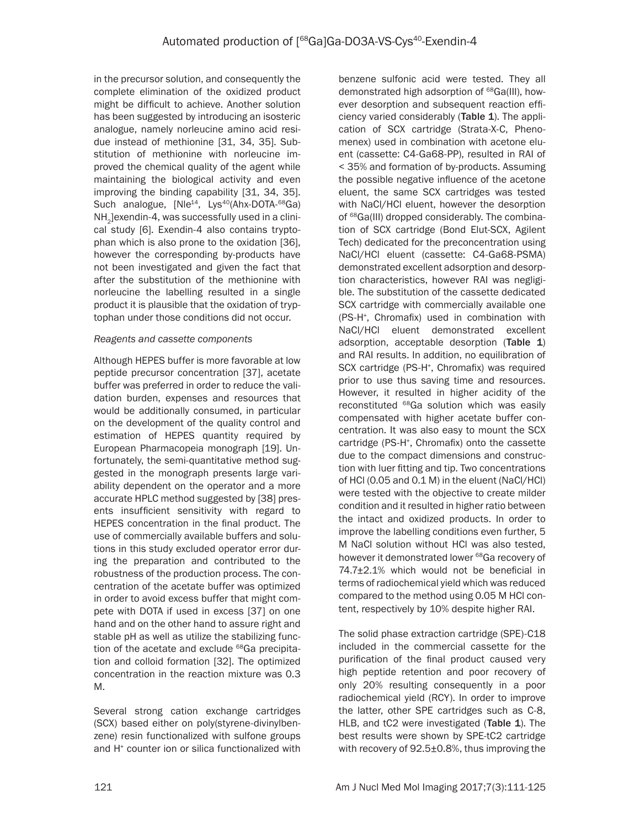in the precursor solution, and consequently the complete elimination of the oxidized product might be difficult to achieve. Another solution has been suggested by introducing an isosteric analogue, namely norleucine amino acid residue instead of methionine [31, 34, 35]. Substitution of methionine with norleucine improved the chemical quality of the agent while maintaining the biological activity and even improving the binding capability [31, 34, 35]. Such analogue, [Nle<sup>14</sup>, Lys<sup>40</sup>(Ahx-DOTA-<sup>68</sup>Ga) NH<sub>2</sub> lexendin-4, was successfully used in a clinical study [6]. Exendin-4 also contains tryptophan which is also prone to the oxidation [36], however the corresponding by-products have not been investigated and given the fact that after the substitution of the methionine with norleucine the labelling resulted in a single product it is plausible that the oxidation of tryptophan under those conditions did not occur.

## *Reagents and cassette components*

Although HEPES buffer is more favorable at low peptide precursor concentration [37], acetate buffer was preferred in order to reduce the validation burden, expenses and resources that would be additionally consumed, in particular on the development of the quality control and estimation of HEPES quantity required by European Pharmacopeia monograph [19]. Unfortunately, the semi-quantitative method suggested in the monograph presents large variability dependent on the operator and a more accurate HPLC method suggested by [38] presents insufficient sensitivity with regard to HEPES concentration in the final product. The use of commercially available buffers and solutions in this study excluded operator error during the preparation and contributed to the robustness of the production process. The concentration of the acetate buffer was optimized in order to avoid excess buffer that might compete with DOTA if used in excess [37] on one hand and on the other hand to assure right and stable pH as well as utilize the stabilizing function of the acetate and exclude <sup>68</sup>Ga precipitation and colloid formation [32]. The optimized concentration in the reaction mixture was 0.3 M.

Several strong cation exchange cartridges (SCX) based either on poly(styrene-divinylbenzene) resin functionalized with sulfone groups and H<sup>+</sup> counter ion or silica functionalized with benzene sulfonic acid were tested. They all demonstrated high adsorption of <sup>68</sup>Ga(III), however desorption and subsequent reaction efficiency varied considerably (Table 1). The application of SCX cartridge (Strata-X-C, Phenomenex) used in combination with acetone eluent (cassette: C4-Ga68-PP), resulted in RAI of < 35% and formation of by-products. Assuming the possible negative influence of the acetone eluent, the same SCX cartridges was tested with NaCl/HCl eluent, however the desorption of <sup>68</sup>Ga(III) dropped considerably. The combination of SCX cartridge (Bond Elut-SCX, Agilent Tech) dedicated for the preconcentration using NaCl/HCl eluent (cassette: C4-Ga68-PSMA) demonstrated excellent adsorption and desorption characteristics, however RAI was negligible. The substitution of the cassette dedicated SCX cartridge with commercially available one (PS-H+ , Chromafix) used in combination with NaCl/HCl eluent demonstrated excellent adsorption, acceptable desorption (Table 1) and RAI results. In addition, no equilibration of SCX cartridge (PS-H+ , Chromafix) was required prior to use thus saving time and resources. However, it resulted in higher acidity of the reconstituted <sup>68</sup>Ga solution which was easily compensated with higher acetate buffer concentration. It was also easy to mount the SCX cartridge (PS-H+ , Chromafix) onto the cassette due to the compact dimensions and construction with luer fitting and tip. Two concentrations of HCl (0.05 and 0.1 M) in the eluent (NaCl/HCl) were tested with the objective to create milder condition and it resulted in higher ratio between the intact and oxidized products. In order to improve the labelling conditions even further, 5 M NaCl solution without HCl was also tested, however it demonstrated lower <sup>68</sup>Ga recovery of 74.7±2.1% which would not be beneficial in terms of radiochemical yield which was reduced compared to the method using 0.05 M HCl content, respectively by 10% despite higher RAI.

The solid phase extraction cartridge (SPE)-C18 included in the commercial cassette for the purification of the final product caused very high peptide retention and poor recovery of only 20% resulting consequently in a poor radiochemical yield (RCY). In order to improve the latter, other SPE cartridges such as C-8, HLB, and tC2 were investigated (Table 1). The best results were shown by SPE-tC2 cartridge with recovery of 92.5±0.8%, thus improving the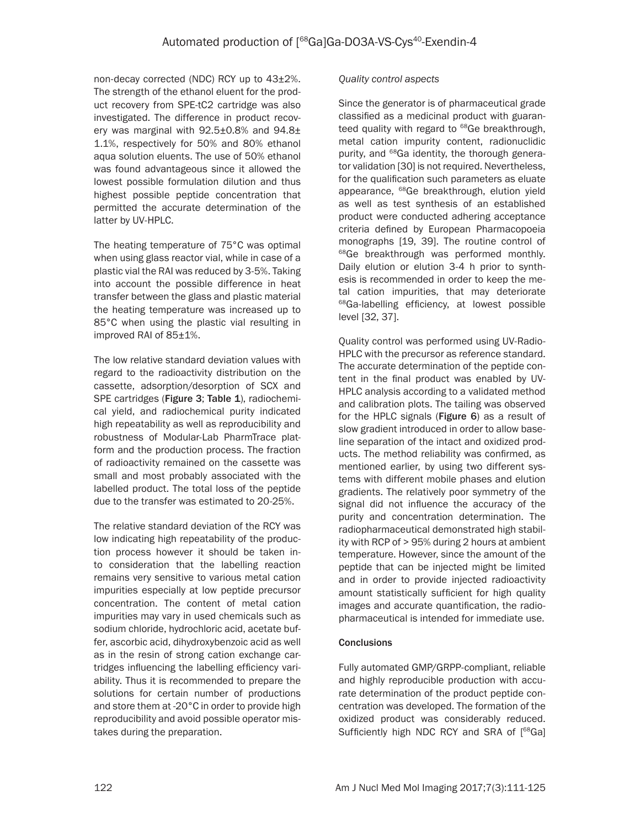non-decay corrected (NDC) RCY up to 43±2%. The strength of the ethanol eluent for the product recovery from SPE-tC2 cartridge was also investigated. The difference in product recovery was marginal with  $92.5\pm0.8\%$  and  $94.8\pm$ 1.1%, respectively for 50% and 80% ethanol aqua solution eluents. The use of 50% ethanol was found advantageous since it allowed the lowest possible formulation dilution and thus highest possible peptide concentration that permitted the accurate determination of the latter by UV-HPLC.

The heating temperature of 75°C was optimal when using glass reactor vial, while in case of a plastic vial the RAI was reduced by 3-5%. Taking into account the possible difference in heat transfer between the glass and plastic material the heating temperature was increased up to 85°C when using the plastic vial resulting in improved RAI of 85±1%.

The low relative standard deviation values with regard to the radioactivity distribution on the cassette, adsorption/desorption of SCX and SPE cartridges (Figure 3; Table 1), radiochemical yield, and radiochemical purity indicated high repeatability as well as reproducibility and robustness of Modular-Lab PharmTrace platform and the production process. The fraction of radioactivity remained on the cassette was small and most probably associated with the labelled product. The total loss of the peptide due to the transfer was estimated to 20-25%.

The relative standard deviation of the RCY was low indicating high repeatability of the production process however it should be taken into consideration that the labelling reaction remains very sensitive to various metal cation impurities especially at low peptide precursor concentration. The content of metal cation impurities may vary in used chemicals such as sodium chloride, hydrochloric acid, acetate buffer, ascorbic acid, dihydroxybenzoic acid as well as in the resin of strong cation exchange cartridges influencing the labelling efficiency variability. Thus it is recommended to prepare the solutions for certain number of productions and store them at -20°C in order to provide high reproducibility and avoid possible operator mistakes during the preparation.

# *Quality control aspects*

Since the generator is of pharmaceutical grade classified as a medicinal product with guaranteed quality with regard to <sup>68</sup>Ge breakthrough, metal cation impurity content, radionuclidic purity, and 68Ga identity, the thorough generator validation [30] is not required. Nevertheless, for the qualification such parameters as eluate appearance, <sup>68</sup>Ge breakthrough, elution yield as well as test synthesis of an established product were conducted adhering acceptance criteria defined by European Pharmacopoeia monographs [19, 39]. The routine control of <sup>68</sup>Ge breakthrough was performed monthly. Daily elution or elution 3-4 h prior to synthesis is recommended in order to keep the metal cation impurities, that may deteriorate <sup>68</sup>Ga-labelling efficiency, at lowest possible level [32, 37].

Quality control was performed using UV-Radio-HPLC with the precursor as reference standard. The accurate determination of the peptide content in the final product was enabled by UV-HPLC analysis according to a validated method and calibration plots. The tailing was observed for the HPLC signals (Figure 6) as a result of slow gradient introduced in order to allow baseline separation of the intact and oxidized products. The method reliability was confirmed, as mentioned earlier, by using two different systems with different mobile phases and elution gradients. The relatively poor symmetry of the signal did not influence the accuracy of the purity and concentration determination. The radiopharmaceutical demonstrated high stability with RCP of > 95% during 2 hours at ambient temperature. However, since the amount of the peptide that can be injected might be limited and in order to provide injected radioactivity amount statistically sufficient for high quality images and accurate quantification, the radiopharmaceutical is intended for immediate use.

# **Conclusions**

Fully automated GMP/GRPP-compliant, reliable and highly reproducible production with accurate determination of the product peptide concentration was developed. The formation of the oxidized product was considerably reduced. Sufficiently high NDC RCY and SRA of [<sup>68</sup>Ga]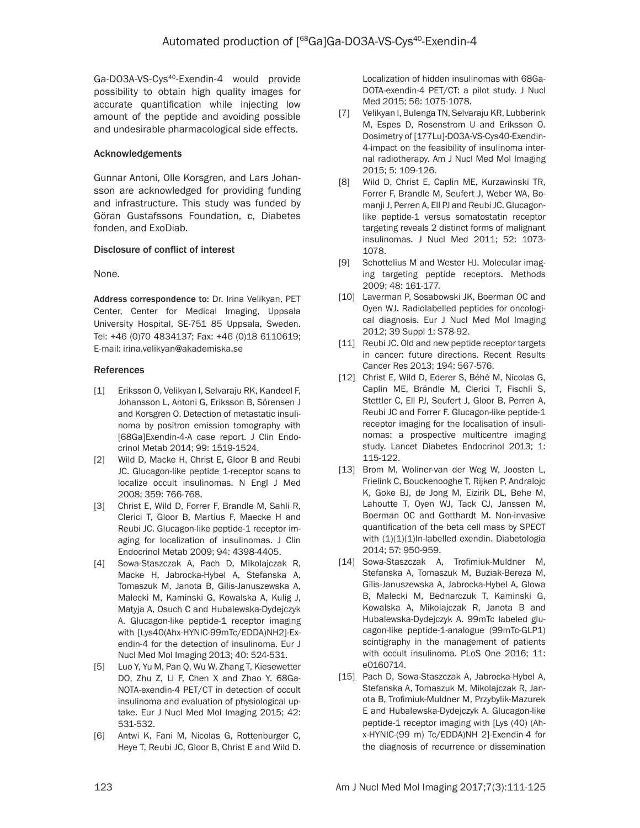Ga-DO3A-VS-Cys<sup>40</sup>-Exendin-4 would provide possibility to obtain high quality images for accurate quantification while injecting low amount of the peptide and avoiding possible and undesirable pharmacological side effects.

### Acknowledgements

Gunnar Antoni, Olle Korsgren, and Lars Johansson are acknowledged for providing funding and infrastructure. This study was funded by Göran Gustafssons Foundation, c, Diabetes fonden, and ExoDiab.

## Disclosure of conflict of interest

#### None.

Address correspondence to: Dr. Irina Velikyan, PET Center, Center for Medical Imaging, Uppsala University Hospital, SE-751 85 Uppsala, Sweden. Tel: +46 (0)70 4834137; Fax: +46 (0)18 6110619; E-mail: irina.velikyan@akademiska.se

## References

- [1] Eriksson O, Velikyan I, Selvaraju RK, Kandeel F, Johansson L, Antoni G, Eriksson B, Sörensen J and Korsgren O. Detection of metastatic insulinoma by positron emission tomography with [68Ga]Exendin-4-A case report. J Clin Endocrinol Metab 2014; 99: 1519-1524.
- [2] Wild D, Macke H, Christ E, Gloor B and Reubi JC. Glucagon-like peptide 1-receptor scans to localize occult insulinomas. N Engl J Med 2008; 359: 766-768.
- [3] Christ E, Wild D, Forrer F, Brandle M, Sahli R, Clerici T, Gloor B, Martius F, Maecke H and Reubi JC. Glucagon-like peptide-1 receptor imaging for localization of insulinomas. J Clin Endocrinol Metab 2009; 94: 4398-4405.
- [4] Sowa-Staszczak A, Pach D, Mikolajczak R, Macke H, Jabrocka-Hybel A, Stefanska A, Tomaszuk M, Janota B, Gilis-Januszewska A, Malecki M, Kaminski G, Kowalska A, Kulig J, Matyja A, Osuch C and Hubalewska-Dydejczyk A. Glucagon-like peptide-1 receptor imaging with [Lys40(Ahx-HYNIC-99mTc/EDDA)NH2]-Exendin-4 for the detection of insulinoma. Eur J Nucl Med Mol Imaging 2013; 40: 524-531.
- [5] Luo Y, Yu M, Pan Q, Wu W, Zhang T, Kiesewetter DO, Zhu Z, Li F, Chen X and Zhao Y. 68Ga-NOTA-exendin-4 PET/CT in detection of occult insulinoma and evaluation of physiological uptake. Eur J Nucl Med Mol Imaging 2015; 42: 531-532.
- [6] Antwi K, Fani M, Nicolas G, Rottenburger C, Heye T, Reubi JC, Gloor B, Christ E and Wild D.

Localization of hidden insulinomas with 68Ga-DOTA-exendin-4 PET/CT: a pilot study. J Nucl Med 2015; 56: 1075-1078.

- [7] Velikyan I, Bulenga TN, Selvaraju KR, Lubberink M, Espes D, Rosenstrom U and Eriksson O. Dosimetry of [177Lu]-DO3A-VS-Cys40-Exendin-4-impact on the feasibility of insulinoma internal radiotherapy. Am J Nucl Med Mol Imaging 2015; 5: 109-126.
- [8] Wild D, Christ E, Caplin ME, Kurzawinski TR, Forrer F, Brandle M, Seufert J, Weber WA, Bomanji J, Perren A, Ell PJ and Reubi JC. Glucagonlike peptide-1 versus somatostatin receptor targeting reveals 2 distinct forms of malignant insulinomas. J Nucl Med 2011; 52: 1073- 1078.
- [9] Schottelius M and Wester HJ. Molecular imaging targeting peptide receptors. Methods 2009; 48: 161-177.
- [10] Laverman P, Sosabowski JK, Boerman OC and Oyen WJ. Radiolabelled peptides for oncological diagnosis. Eur J Nucl Med Mol Imaging 2012; 39 Suppl 1: S78-92.
- [11] Reubi JC. Old and new peptide receptor targets in cancer: future directions. Recent Results Cancer Res 2013; 194: 567-576.
- [12] Christ E, Wild D, Ederer S, Béhé M, Nicolas G, Caplin ME, Brändle M, Clerici T, Fischli S, Stettler C, Ell PJ, Seufert J, Gloor B, Perren A, Reubi JC and Forrer F. Glucagon-like peptide-1 receptor imaging for the localisation of insulinomas: a prospective multicentre imaging study. Lancet Diabetes Endocrinol 2013; 1: 115-122.
- [13] Brom M, Woliner-van der Weg W, Joosten L, Frielink C, Bouckenooghe T, Rijken P, Andralojc K, Goke BJ, de Jong M, Eizirik DL, Behe M, Lahoutte T, Oyen WJ, Tack CJ, Janssen M, Boerman OC and Gotthardt M. Non-invasive quantification of the beta cell mass by SPECT with  $(1)(1)(1)$ In-labelled exendin. Diabetologia 2014; 57: 950-959.
- [14] Sowa-Staszczak A, Trofimiuk-Muldner M, Stefanska A, Tomaszuk M, Buziak-Bereza M, Gilis-Januszewska A, Jabrocka-Hybel A, Glowa B, Malecki M, Bednarczuk T, Kaminski G, Kowalska A, Mikolajczak R, Janota B and Hubalewska-Dydejczyk A. 99mTc labeled glucagon-like peptide-1-analogue (99mTc-GLP1) scintigraphy in the management of patients with occult insulinoma. PLoS One 2016; 11: e0160714.
- [15] Pach D, Sowa-Staszczak A, Jabrocka-Hybel A, Stefanska A, Tomaszuk M, Mikolajczak R, Janota B, Trofimiuk-Muldner M, Przybylik-Mazurek E and Hubalewska-Dydejczyk A. Glucagon-like peptide-1 receptor imaging with [Lys (40) (Ahx-HYNIC-(99 m) Tc/EDDA)NH 2]-Exendin-4 for the diagnosis of recurrence or dissemination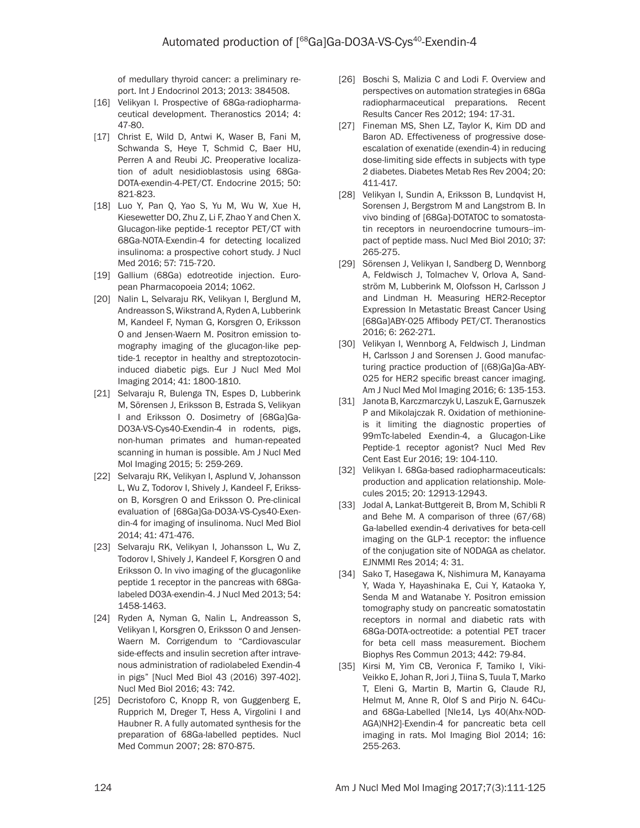of medullary thyroid cancer: a preliminary report. Int J Endocrinol 2013; 2013: 384508.

- [16] Velikyan I. Prospective of 68Ga-radiopharmaceutical development. Theranostics 2014; 4: 47-80.
- [17] Christ E, Wild D, Antwi K, Waser B, Fani M, Schwanda S, Heye T, Schmid C, Baer HU, Perren A and Reubi JC. Preoperative localization of adult nesidioblastosis using 68Ga-DOTA-exendin-4-PET/CT. Endocrine 2015; 50: 821-823.
- [18] Luo Y, Pan Q, Yao S, Yu M, Wu W, Xue H, Kiesewetter DO, Zhu Z, Li F, Zhao Y and Chen X. Glucagon-like peptide-1 receptor PET/CT with 68Ga-NOTA-Exendin-4 for detecting localized insulinoma: a prospective cohort study. J Nucl Med 2016; 57: 715-720.
- [19] Gallium (68Ga) edotreotide injection. European Pharmacopoeia 2014; 1062.
- [20] Nalin L, Selvaraju RK, Velikyan I, Berglund M, Andreasson S, Wikstrand A, Ryden A, Lubberink M, Kandeel F, Nyman G, Korsgren O, Eriksson O and Jensen-Waern M. Positron emission tomography imaging of the glucagon-like peptide-1 receptor in healthy and streptozotocininduced diabetic pigs. Eur J Nucl Med Mol Imaging 2014; 41: 1800-1810.
- [21] Selvaraju R, Bulenga TN, Espes D, Lubberink M, Sörensen J, Eriksson B, Estrada S, Velikyan I and Eriksson O. Dosimetry of [68Ga]Ga-DO3A-VS-Cys40-Exendin-4 in rodents, pigs, non-human primates and human-repeated scanning in human is possible. Am J Nucl Med Mol Imaging 2015; 5: 259-269.
- [22] Selvaraju RK, Velikyan I, Asplund V, Johansson L, Wu Z, Todorov I, Shively J, Kandeel F, Eriksson B, Korsgren O and Eriksson O. Pre-clinical evaluation of [68Ga]Ga-DO3A-VS-Cys40-Exendin-4 for imaging of insulinoma. Nucl Med Biol 2014; 41: 471-476.
- [23] Selvaraju RK, Velikyan I, Johansson L, Wu Z, Todorov I, Shively J, Kandeel F, Korsgren O and Eriksson O. In vivo imaging of the glucagonlike peptide 1 receptor in the pancreas with 68Galabeled DO3A-exendin-4. J Nucl Med 2013; 54: 1458-1463.
- [24] Ryden A, Nyman G, Nalin L, Andreasson S, Velikyan I, Korsgren O, Eriksson O and Jensen-Waern M. Corrigendum to "Cardiovascular side-effects and insulin secretion after intravenous administration of radiolabeled Exendin-4 in pigs" [Nucl Med Biol 43 (2016) 397-402]. Nucl Med Biol 2016; 43: 742.
- [25] Decristoforo C, Knopp R, von Guggenberg E, Rupprich M, Dreger T, Hess A, Virgolini I and Haubner R. A fully automated synthesis for the preparation of 68Ga-labelled peptides. Nucl Med Commun 2007; 28: 870-875.
- [26] Boschi S, Malizia C and Lodi F. Overview and perspectives on automation strategies in 68Ga radiopharmaceutical preparations. Recent Results Cancer Res 2012; 194: 17-31.
- [27] Fineman MS, Shen LZ, Taylor K, Kim DD and Baron AD. Effectiveness of progressive doseescalation of exenatide (exendin-4) in reducing dose-limiting side effects in subjects with type 2 diabetes. Diabetes Metab Res Rev 2004; 20: 411-417.
- [28] Velikyan I, Sundin A, Eriksson B, Lundqvist H, Sorensen J, Bergstrom M and Langstrom B. In vivo binding of [68Ga]-DOTATOC to somatostatin receptors in neuroendocrine tumours--impact of peptide mass. Nucl Med Biol 2010; 37: 265-275.
- [29] Sörensen J, Velikyan I, Sandberg D, Wennborg A, Feldwisch J, Tolmachev V, Orlova A, Sandström M, Lubberink M, Olofsson H, Carlsson J and Lindman H. Measuring HER2-Receptor Expression In Metastatic Breast Cancer Using [68Ga]ABY-025 Affibody PET/CT. Theranostics 2016; 6: 262-271.
- [30] Velikyan I, Wennborg A, Feldwisch J, Lindman H, Carlsson J and Sorensen J. Good manufacturing practice production of [(68)Ga]Ga-ABY-025 for HER2 specific breast cancer imaging. Am J Nucl Med Mol Imaging 2016; 6: 135-153.
- [31] Janota B, Karczmarczyk U, Laszuk E, Garnuszek P and Mikolajczak R. Oxidation of methionineis it limiting the diagnostic properties of 99mTc-labeled Exendin-4, a Glucagon-Like Peptide-1 receptor agonist? Nucl Med Rev Cent East Eur 2016; 19: 104-110.
- [32] Velikyan I. 68Ga-based radiopharmaceuticals: production and application relationship. Molecules 2015; 20: 12913-12943.
- [33] Jodal A, Lankat-Buttgereit B, Brom M, Schibli R and Behe M. A comparison of three (67/68) Ga-labelled exendin-4 derivatives for beta-cell imaging on the GLP-1 receptor: the influence of the conjugation site of NODAGA as chelator. EJNMMI Res 2014; 4: 31.
- [34] Sako T, Hasegawa K, Nishimura M, Kanayama Y, Wada Y, Hayashinaka E, Cui Y, Kataoka Y, Senda M and Watanabe Y. Positron emission tomography study on pancreatic somatostatin receptors in normal and diabetic rats with 68Ga-DOTA-octreotide: a potential PET tracer for beta cell mass measurement. Biochem Biophys Res Commun 2013; 442: 79-84.
- [35] Kirsi M, Yim CB, Veronica F, Tamiko I, Viki-Veikko E, Johan R, Jori J, Tiina S, Tuula T, Marko T, Eleni G, Martin B, Martin G, Claude RJ, Helmut M, Anne R, Olof S and Pirjo N. 64Cuand 68Ga-Labelled [Nle14, Lys 40(Ahx-NOD-AGA)NH2]-Exendin-4 for pancreatic beta cell imaging in rats. Mol Imaging Biol 2014; 16: 255-263.